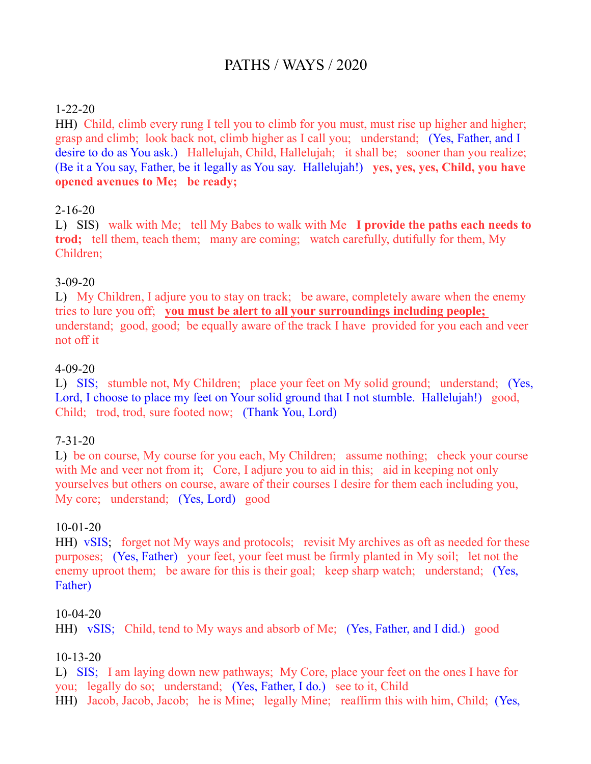# PATHS / WAYS / 2020

# 1-22-20

HH) Child, climb every rung I tell you to climb for you must, must rise up higher and higher; grasp and climb; look back not, climb higher as I call you; understand; (Yes, Father, and I desire to do as You ask.) Hallelujah, Child, Hallelujah; it shall be; sooner than you realize; (Be it a You say, Father, be it legally as You say. Hallelujah!) **yes, yes, yes, Child, you have opened avenues to Me; be ready;** 

# 2-16-20

L) SIS) walk with Me; tell My Babes to walk with Me **I provide the paths each needs to trod;** tell them, teach them; many are coming; watch carefully, dutifully for them, My Children;

# 3-09-20

L) My Children, I adjure you to stay on track; be aware, completely aware when the enemy tries to lure you off; **you must be alert to all your surroundings including people;**  understand; good, good; be equally aware of the track I have provided for you each and veer not off it

#### 4-09-20

L) SIS; stumble not, My Children; place your feet on My solid ground; understand; (Yes, Lord, I choose to place my feet on Your solid ground that I not stumble. Hallelujah!) good, Child; trod, trod, sure footed now; (Thank You, Lord)

#### 7-31-20

L) be on course, My course for you each, My Children; assume nothing; check your course with Me and veer not from it; Core, I adjure you to aid in this; aid in keeping not only yourselves but others on course, aware of their courses I desire for them each including you, My core; understand; (Yes, Lord) good

#### 10-01-20

HH) vSIS; forget not My ways and protocols; revisit My archives as oft as needed for these purposes; (Yes, Father) your feet, your feet must be firmly planted in My soil; let not the enemy uproot them; be aware for this is their goal; keep sharp watch; understand; (Yes, Father)

#### 10-04-20

```
HH) vSIS; Child, tend to My ways and absorb of Me; (Yes, Father, and I did.) good
```
#### 10-13-20

L) SIS; I am laying down new pathways; My Core, place your feet on the ones I have for you; legally do so; understand; (Yes, Father, I do.) see to it, Child HH) Jacob, Jacob, Jacob; he is Mine; legally Mine; reaffirm this with him, Child; (Yes,